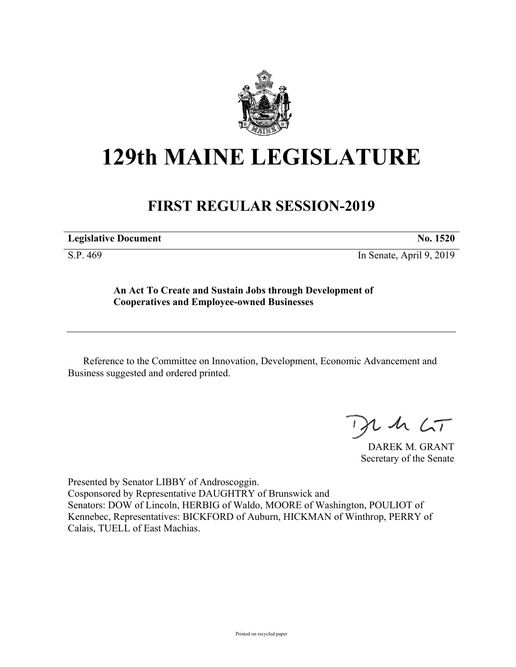

# **129th MAINE LEGISLATURE**

## **FIRST REGULAR SESSION-2019**

**Legislative Document No. 1520**

S.P. 469 In Senate, April 9, 2019

**An Act To Create and Sustain Jobs through Development of Cooperatives and Employee-owned Businesses**

Reference to the Committee on Innovation, Development, Economic Advancement and Business suggested and ordered printed.

 $125$ 

DAREK M. GRANT Secretary of the Senate

Presented by Senator LIBBY of Androscoggin. Cosponsored by Representative DAUGHTRY of Brunswick and Senators: DOW of Lincoln, HERBIG of Waldo, MOORE of Washington, POULIOT of Kennebec, Representatives: BICKFORD of Auburn, HICKMAN of Winthrop, PERRY of Calais, TUELL of East Machias.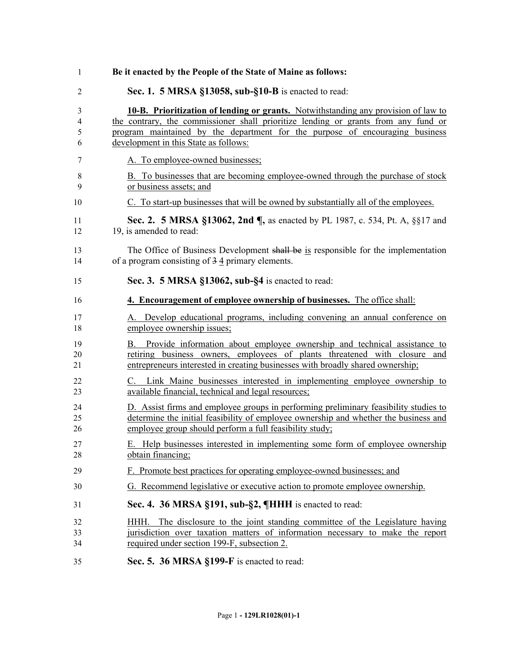| 1                | Be it enacted by the People of the State of Maine as follows:                                                                                                                                                                                                                                            |
|------------------|----------------------------------------------------------------------------------------------------------------------------------------------------------------------------------------------------------------------------------------------------------------------------------------------------------|
| 2                | Sec. 1. 5 MRSA §13058, sub-§10-B is enacted to read:                                                                                                                                                                                                                                                     |
| 3<br>4<br>5<br>6 | <b>10-B.</b> Prioritization of lending or grants. Notwithstanding any provision of law to<br>the contrary, the commissioner shall prioritize lending or grants from any fund or<br>program maintained by the department for the purpose of encouraging business<br>development in this State as follows: |
| 7                | A. To employee-owned businesses;                                                                                                                                                                                                                                                                         |
| 8<br>9           | B. To businesses that are becoming employee-owned through the purchase of stock<br>or business assets; and                                                                                                                                                                                               |
| 10               | C. To start-up businesses that will be owned by substantially all of the employees.                                                                                                                                                                                                                      |
| 11<br>12         | Sec. 2. 5 MRSA §13062, 2nd ¶, as enacted by PL 1987, c. 534, Pt. A, §§17 and<br>19, is amended to read:                                                                                                                                                                                                  |
| 13<br>14         | The Office of Business Development shall be is responsible for the implementation<br>of a program consisting of $3\overline{4}$ primary elements.                                                                                                                                                        |
| 15               | Sec. 3. 5 MRSA §13062, sub-§4 is enacted to read:                                                                                                                                                                                                                                                        |
| 16               | 4. Encouragement of employee ownership of businesses. The office shall:                                                                                                                                                                                                                                  |
| 17<br>18         | A. Develop educational programs, including convening an annual conference on<br>employee ownership issues;                                                                                                                                                                                               |
| 19<br>20<br>21   | Provide information about employee ownership and technical assistance to<br>В.<br>retiring business owners, employees of plants threatened with closure and<br>entrepreneurs interested in creating businesses with broadly shared ownership;                                                            |
| 22<br>23         | C. Link Maine businesses interested in implementing employee ownership to<br>available financial, technical and legal resources;                                                                                                                                                                         |
| 24<br>25<br>26   | D. Assist firms and employee groups in performing preliminary feasibility studies to<br>determine the initial feasibility of employee ownership and whether the business and<br>employee group should perform a full feasibility study;                                                                  |
| 27<br>28         | E. Help businesses interested in implementing some form of employee ownership<br>obtain financing:                                                                                                                                                                                                       |
| 29               | F. Promote best practices for operating employee-owned businesses; and                                                                                                                                                                                                                                   |
| 30               | G. Recommend legislative or executive action to promote employee ownership.                                                                                                                                                                                                                              |
| 31               | Sec. 4. 36 MRSA §191, sub-§2, ¶HHH is enacted to read:                                                                                                                                                                                                                                                   |
| 32<br>33<br>34   | HHH. The disclosure to the joint standing committee of the Legislature having<br>jurisdiction over taxation matters of information necessary to make the report<br>required under section 199-F, subsection 2.                                                                                           |
| 35               | Sec. 5. 36 MRSA §199-F is enacted to read:                                                                                                                                                                                                                                                               |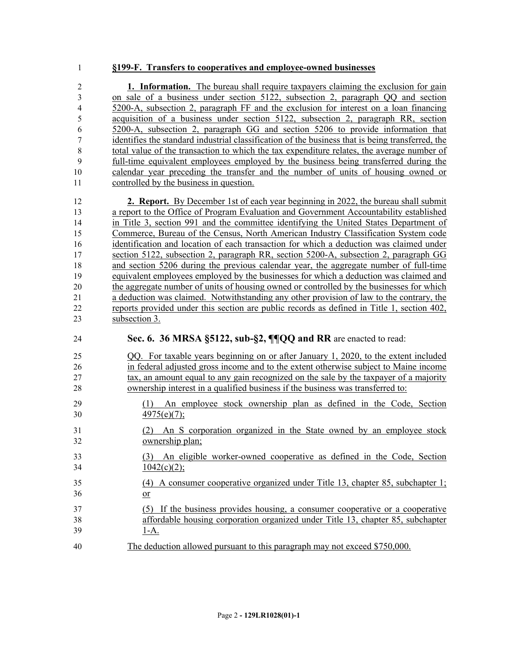#### **§199-F. Transfers to cooperatives and employee-owned businesses**

 **1. Information.** The bureau shall require taxpayers claiming the exclusion for gain on sale of a business under section 5122, subsection 2, paragraph QQ and section 5200-A, subsection 2, paragraph FF and the exclusion for interest on a loan financing acquisition of a business under section 5122, subsection 2, paragraph RR, section 5200-A, subsection 2, paragraph GG and section 5206 to provide information that identifies the standard industrial classification of the business that is being transferred, the total value of the transaction to which the tax expenditure relates, the average number of full-time equivalent employees employed by the business being transferred during the calendar year preceding the transfer and the number of units of housing owned or controlled by the business in question.

 **2. Report.** By December 1st of each year beginning in 2022, the bureau shall submit a report to the Office of Program Evaluation and Government Accountability established in Title 3, section 991 and the committee identifying the United States Department of Commerce, Bureau of the Census, North American Industry Classification System code identification and location of each transaction for which a deduction was claimed under section 5122, subsection 2, paragraph RR, section 5200-A, subsection 2, paragraph GG and section 5206 during the previous calendar year, the aggregate number of full-time equivalent employees employed by the businesses for which a deduction was claimed and the aggregate number of units of housing owned or controlled by the businesses for which a deduction was claimed. Notwithstanding any other provision of law to the contrary, the reports provided under this section are public records as defined in Title 1, section 402, subsection 3.

### **Sec. 6. 36 MRSA §5122, sub-§2, ¶¶QQ and RR** are enacted to read:

- QQ. For taxable years beginning on or after January 1, 2020, to the extent included in federal adjusted gross income and to the extent otherwise subject to Maine income tax, an amount equal to any gain recognized on the sale by the taxpayer of a majority ownership interest in a qualified business if the business was transferred to:
- (1) An employee stock ownership plan as defined in the Code, Section 30  $4975(e)(7)$ ;
- (2) An S corporation organized in the State owned by an employee stock ownership plan;
- (3) An eligible worker-owned cooperative as defined in the Code, Section 34  $1042(c)(2)$ ;
- (4) A consumer cooperative organized under Title 13, chapter 85, subchapter 1; 36 <u>or</u>
- (5) If the business provides housing, a consumer cooperative or a cooperative affordable housing corporation organized under Title 13, chapter 85, subchapter  $39 \t1-A.$
- The deduction allowed pursuant to this paragraph may not exceed \$750,000.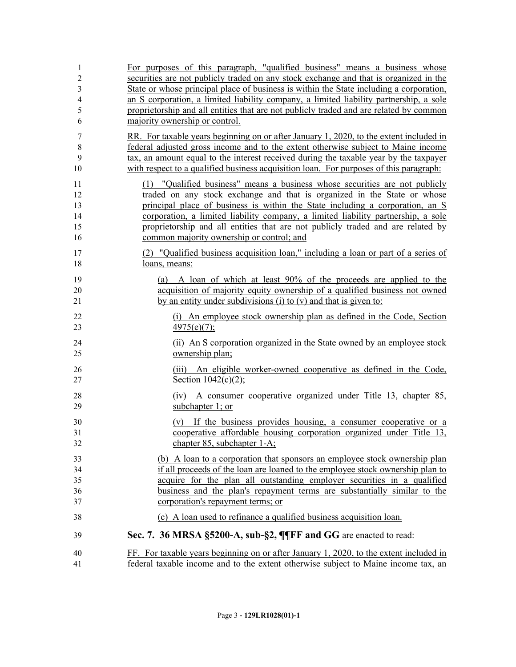| 1              | For purposes of this paragraph, "qualified business" means a business whose                                                                                                                                                |
|----------------|----------------------------------------------------------------------------------------------------------------------------------------------------------------------------------------------------------------------------|
| $\overline{c}$ | securities are not publicly traded on any stock exchange and that is organized in the                                                                                                                                      |
| $\mathfrak{Z}$ | State or whose principal place of business is within the State including a corporation,                                                                                                                                    |
| $\overline{4}$ | an S corporation, a limited liability company, a limited liability partnership, a sole                                                                                                                                     |
| 5              | proprietorship and all entities that are not publicly traded and are related by common                                                                                                                                     |
| 6              | majority ownership or control.                                                                                                                                                                                             |
| 7              | RR. For taxable years beginning on or after January 1, 2020, to the extent included in                                                                                                                                     |
| 8              | federal adjusted gross income and to the extent otherwise subject to Maine income                                                                                                                                          |
| 9              | tax, an amount equal to the interest received during the taxable year by the taxpayer                                                                                                                                      |
| 10             | with respect to a qualified business acquisition loan. For purposes of this paragraph:                                                                                                                                     |
| 11             | (1) "Qualified business" means a business whose securities are not publicly                                                                                                                                                |
| 12             | traded on any stock exchange and that is organized in the State or whose                                                                                                                                                   |
| 13             | principal place of business is within the State including a corporation, an S                                                                                                                                              |
| 14             | corporation, a limited liability company, a limited liability partnership, a sole                                                                                                                                          |
| 15             | proprietorship and all entities that are not publicly traded and are related by                                                                                                                                            |
| 16             | common majority ownership or control; and                                                                                                                                                                                  |
| 17             | (2) "Qualified business acquisition loan," including a loan or part of a series of                                                                                                                                         |
| 18             | loans, means:                                                                                                                                                                                                              |
| 19<br>20<br>21 | A loan of which at least 90% of the proceeds are applied to the<br>(a)<br>acquisition of majority equity ownership of a qualified business not owned<br>by an entity under subdivisions (i) to $(v)$ and that is given to: |
| 22             | (i) An employee stock ownership plan as defined in the Code, Section                                                                                                                                                       |
| 23             | 4975(e)(7);                                                                                                                                                                                                                |
| 24             | (ii) An S corporation organized in the State owned by an employee stock                                                                                                                                                    |
| 25             | ownership plan;                                                                                                                                                                                                            |
| 26             | (iii) An eligible worker-owned cooperative as defined in the Code,                                                                                                                                                         |
| 27             | Section $1042(c)(2)$ ;                                                                                                                                                                                                     |
| 28<br>29       | A consumer cooperative organized under Title 13, chapter 85,<br>(iv)<br>subchapter 1; or                                                                                                                                   |
| 30             | (v) If the business provides housing, a consumer cooperative or a                                                                                                                                                          |
| 31             | cooperative affordable housing corporation organized under Title 13,                                                                                                                                                       |
| 32             | chapter 85, subchapter 1-A;                                                                                                                                                                                                |
| 33             | (b) A loan to a corporation that sponsors an employee stock ownership plan                                                                                                                                                 |
| 34             | if all proceeds of the loan are loaned to the employee stock ownership plan to                                                                                                                                             |
| 35             | acquire for the plan all outstanding employer securities in a qualified                                                                                                                                                    |
| 36             | business and the plan's repayment terms are substantially similar to the                                                                                                                                                   |
| 37             | corporation's repayment terms; or                                                                                                                                                                                          |
| 38             | (c) A loan used to refinance a qualified business acquisition loan.                                                                                                                                                        |
| 39             | Sec. 7. 36 MRSA §5200-A, sub-§2, ¶¶FF and GG are enacted to read:                                                                                                                                                          |
| 40             | FF. For taxable years beginning on or after January 1, 2020, to the extent included in                                                                                                                                     |
| 41             | federal taxable income and to the extent otherwise subject to Maine income tax, an                                                                                                                                         |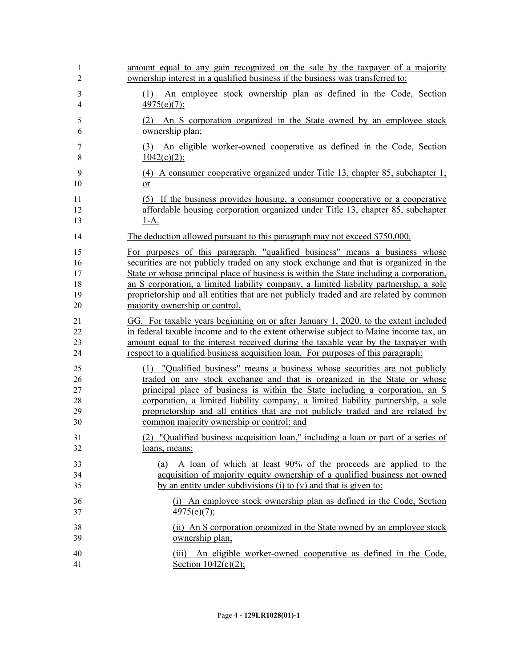| 1                   | amount equal to any gain recognized on the sale by the taxpayer of a majority           |
|---------------------|-----------------------------------------------------------------------------------------|
| $\overline{2}$      | ownership interest in a qualified business if the business was transferred to:          |
| 3<br>$\overline{4}$ | An employee stock ownership plan as defined in the Code, Section<br>(1)<br>4975(e)(7);  |
| 5                   | (2) An S corporation organized in the State owned by an employee stock                  |
| 6                   | ownership plan;                                                                         |
| 7                   | (3) An eligible worker-owned cooperative as defined in the Code, Section                |
| $\,$ 8 $\,$         | 1042(c)(2);                                                                             |
| 9                   | (4) A consumer cooperative organized under Title 13, chapter 85, subchapter 1;          |
| 10                  | $\overline{\text{or}}$                                                                  |
| 11                  | (5) If the business provides housing, a consumer cooperative or a cooperative           |
| 12                  | affordable housing corporation organized under Title 13, chapter 85, subchapter         |
| 13                  | $1-A.$                                                                                  |
| 14                  | The deduction allowed pursuant to this paragraph may not exceed \$750,000.              |
| 15                  | For purposes of this paragraph, "qualified business" means a business whose             |
| 16                  | securities are not publicly traded on any stock exchange and that is organized in the   |
| 17                  | State or whose principal place of business is within the State including a corporation, |
| 18                  | an S corporation, a limited liability company, a limited liability partnership, a sole  |
| 19                  | proprietorship and all entities that are not publicly traded and are related by common  |
| 20                  | majority ownership or control.                                                          |
| 21                  | GG. For taxable years beginning on or after January 1, 2020, to the extent included     |
| 22                  | in federal taxable income and to the extent otherwise subject to Maine income tax, an   |
| 23                  | amount equal to the interest received during the taxable year by the taxpayer with      |
| 24                  | respect to a qualified business acquisition loan. For purposes of this paragraph:       |
| 25                  | (1) "Qualified business" means a business whose securities are not publicly             |
| 26                  | traded on any stock exchange and that is organized in the State or whose                |
| $27\,$              | principal place of business is within the State including a corporation, an S           |
| 28                  | corporation, a limited liability company, a limited liability partnership, a sole       |
| 29                  | proprietorship and all entities that are not publicly traded and are related by         |
| 30                  | common majority ownership or control; and                                               |
| 31                  | (2) "Qualified business acquisition loan," including a loan or part of a series of      |
| 32                  | loans, means:                                                                           |
| 33                  | (a) A loan of which at least 90% of the proceeds are applied to the                     |
| 34                  | acquisition of majority equity ownership of a qualified business not owned              |
| 35                  | by an entity under subdivisions (i) to $(v)$ and that is given to:                      |
| 36                  | (i) An employee stock ownership plan as defined in the Code, Section                    |
| 37                  | $\frac{4975(e)(7)}{2}$                                                                  |
| 38                  | (ii) An S corporation organized in the State owned by an employee stock                 |
| 39                  | ownership plan;                                                                         |
| 40                  | (iii) An eligible worker-owned cooperative as defined in the Code,                      |
| 41                  | Section $1042(c)(2)$ ;                                                                  |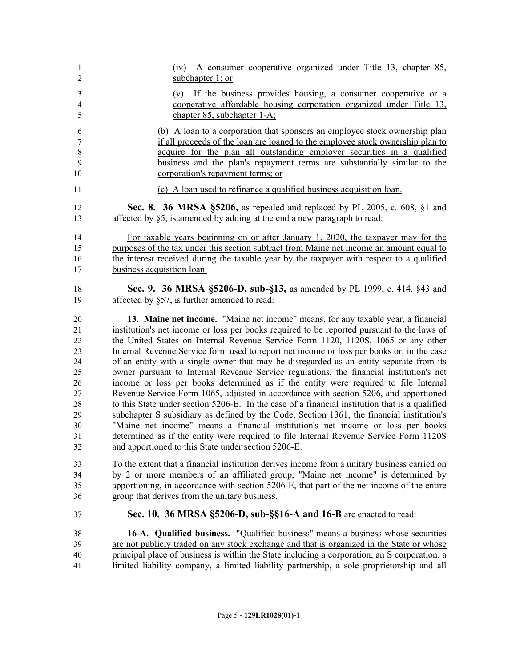| $\mathbf{1}$     | (iv) A consumer cooperative organized under Title 13, chapter 85,                              |
|------------------|------------------------------------------------------------------------------------------------|
| $\overline{2}$   | subchapter 1; or                                                                               |
| 3                | (v) If the business provides housing, a consumer cooperative or a                              |
| $\overline{4}$   | cooperative affordable housing corporation organized under Title 13,                           |
| 5                | chapter 85, subchapter 1-A;                                                                    |
| 6                | (b) A loan to a corporation that sponsors an employee stock ownership plan                     |
| $\boldsymbol{7}$ | if all proceeds of the loan are loaned to the employee stock ownership plan to                 |
| $\,8\,$          | acquire for the plan all outstanding employer securities in a qualified                        |
| 9                | business and the plan's repayment terms are substantially similar to the                       |
| 10               | corporation's repayment terms; or                                                              |
| 11               | (c) A loan used to refinance a qualified business acquisition loan.                            |
| 12               | Sec. 8. 36 MRSA §5206, as repealed and replaced by PL 2005, c. 608, §1 and                     |
| 13               | affected by §5, is amended by adding at the end a new paragraph to read:                       |
| 14               | For taxable years beginning on or after January 1, 2020, the taxpayer may for the              |
| 15               | purposes of the tax under this section subtract from Maine net income an amount equal to       |
| 16               | the interest received during the taxable year by the taxpayer with respect to a qualified      |
| 17               | business acquisition loan.                                                                     |
| 18               | Sec. 9. 36 MRSA §5206-D, sub-§13, as amended by PL 1999, c. 414, §43 and                       |
| 19               | affected by §57, is further amended to read:                                                   |
| 20               | 13. Maine net income. "Maine net income" means, for any taxable year, a financial              |
| 21               | institution's net income or loss per books required to be reported pursuant to the laws of     |
| 22               | the United States on Internal Revenue Service Form 1120, 1120S, 1065 or any other              |
| 23               | Internal Revenue Service form used to report net income or loss per books or, in the case      |
| 24               | of an entity with a single owner that may be disregarded as an entity separate from its        |
| 25               | owner pursuant to Internal Revenue Service regulations, the financial institution's net        |
| 26               | income or loss per books determined as if the entity were required to file Internal            |
| $27\,$           | Revenue Service Form 1065, adjusted in accordance with section 5206, and apportioned           |
| $28\,$           | to this State under section 5206-E. In the case of a financial institution that is a qualified |
| 29               | subchapter S subsidiary as defined by the Code, Section 1361, the financial institution's      |
| 30               | "Maine net income" means a financial institution's net income or loss per books                |
| 31               | determined as if the entity were required to file Internal Revenue Service Form 1120S          |
| 32               | and apportioned to this State under section 5206-E.                                            |
| 33               | To the extent that a financial institution derives income from a unitary business carried on   |
| 34               | by 2 or more members of an affiliated group, "Maine net income" is determined by               |
| 35               | apportioning, in accordance with section 5206-E, that part of the net income of the entire     |
| 36               | group that derives from the unitary business.                                                  |
| 37               | Sec. 10. 36 MRSA §5206-D, sub-§§16-A and 16-B are enacted to read:                             |
| 38               | 16-A. Qualified business. "Qualified business" means a business whose securities               |
| 39               | are not publicly traded on any stock exchange and that is organized in the State or whose      |
| 40               | principal place of business is within the State including a corporation, an S corporation, a   |
| 41               | limited liability company, a limited liability partnership, a sole proprietorship and all      |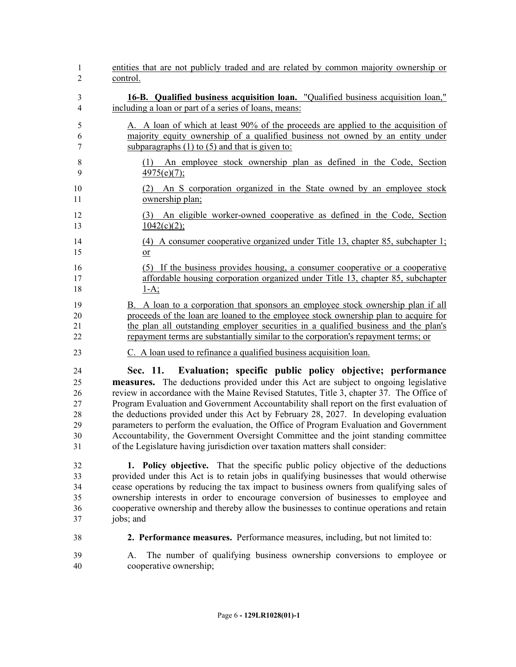| $\mathbf{1}$   | entities that are not publicly traded and are related by common majority ownership or                  |
|----------------|--------------------------------------------------------------------------------------------------------|
| $\overline{2}$ | control.                                                                                               |
| 3              | <b>16-B.</b> Qualified business acquisition loan. "Qualified business acquisition loan,"               |
| $\overline{4}$ | including a loan or part of a series of loans, means:                                                  |
| 5              | A. A loan of which at least 90% of the proceeds are applied to the acquisition of                      |
| 6              | majority equity ownership of a qualified business not owned by an entity under                         |
| $\tau$         | subparagraphs $(1)$ to $(5)$ and that is given to:                                                     |
| 8              | (1) An employee stock ownership plan as defined in the Code, Section                                   |
| 9              | $\frac{4975(e)(7)}{2}$                                                                                 |
| 10<br>11       | An S corporation organized in the State owned by an employee stock<br>(2)<br>ownership plan;           |
| 12             | (3) An eligible worker-owned cooperative as defined in the Code, Section                               |
| 13             | $1042(c)(2)$ ;                                                                                         |
| 14             | (4) A consumer cooperative organized under Title 13, chapter 85, subchapter 1;                         |
| 15             | $or$                                                                                                   |
| 16             | (5) If the business provides housing, a consumer cooperative or a cooperative                          |
| 17             | affordable housing corporation organized under Title 13, chapter 85, subchapter                        |
| 18             | $1-A$ ;                                                                                                |
| 19             | B. A loan to a corporation that sponsors an employee stock ownership plan if all                       |
| 20             | proceeds of the loan are loaned to the employee stock ownership plan to acquire for                    |
| 21             | the plan all outstanding employer securities in a qualified business and the plan's                    |
| 22             | repayment terms are substantially similar to the corporation's repayment terms; or                     |
| 23             | C. A loan used to refinance a qualified business acquisition loan.                                     |
| 24             | Sec. 11. Evaluation; specific public policy objective; performance                                     |
| 25             | measures. The deductions provided under this Act are subject to ongoing legislative                    |
| 26             | review in accordance with the Maine Revised Statutes, Title 3, chapter 37. The Office of               |
| $27\,$         | Program Evaluation and Government Accountability shall report on the first evaluation of               |
| 28             | the deductions provided under this Act by February 28, 2027. In developing evaluation                  |
| 29             | parameters to perform the evaluation, the Office of Program Evaluation and Government                  |
| 30             | Accountability, the Government Oversight Committee and the joint standing committee                    |
| 31             | of the Legislature having jurisdiction over taxation matters shall consider:                           |
| 32             | 1. Policy objective. That the specific public policy objective of the deductions                       |
| 33             | provided under this Act is to retain jobs in qualifying businesses that would otherwise                |
| 34             | cease operations by reducing the tax impact to business owners from qualifying sales of                |
| 35             | ownership interests in order to encourage conversion of businesses to employee and                     |
| 36             | cooperative ownership and thereby allow the businesses to continue operations and retain               |
| 37             | jobs; and                                                                                              |
| 38             | 2. Performance measures. Performance measures, including, but not limited to:                          |
| 39<br>40       | The number of qualifying business ownership conversions to employee or<br>A.<br>cooperative ownership; |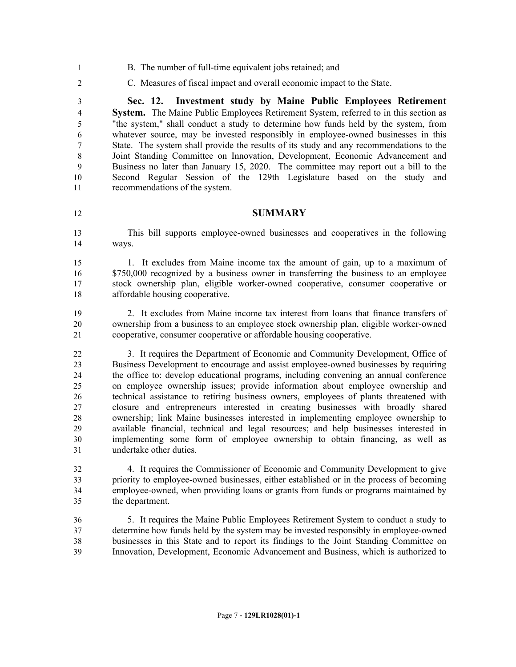- B. The number of full-time equivalent jobs retained; and
- C. Measures of fiscal impact and overall economic impact to the State.

 **Sec. 12. Investment study by Maine Public Employees Retirement System.** The Maine Public Employees Retirement System, referred to in this section as "the system," shall conduct a study to determine how funds held by the system, from whatever source, may be invested responsibly in employee-owned businesses in this State. The system shall provide the results of its study and any recommendations to the Joint Standing Committee on Innovation, Development, Economic Advancement and Business no later than January 15, 2020. The committee may report out a bill to the Second Regular Session of the 129th Legislature based on the study and recommendations of the system.

#### **SUMMARY**

 This bill supports employee-owned businesses and cooperatives in the following ways.

 1. It excludes from Maine income tax the amount of gain, up to a maximum of \$750,000 recognized by a business owner in transferring the business to an employee stock ownership plan, eligible worker-owned cooperative, consumer cooperative or affordable housing cooperative.

 2. It excludes from Maine income tax interest from loans that finance transfers of ownership from a business to an employee stock ownership plan, eligible worker-owned cooperative, consumer cooperative or affordable housing cooperative.

 3. It requires the Department of Economic and Community Development, Office of Business Development to encourage and assist employee-owned businesses by requiring the office to: develop educational programs, including convening an annual conference on employee ownership issues; provide information about employee ownership and technical assistance to retiring business owners, employees of plants threatened with closure and entrepreneurs interested in creating businesses with broadly shared ownership; link Maine businesses interested in implementing employee ownership to available financial, technical and legal resources; and help businesses interested in implementing some form of employee ownership to obtain financing, as well as undertake other duties.

 4. It requires the Commissioner of Economic and Community Development to give priority to employee-owned businesses, either established or in the process of becoming employee-owned, when providing loans or grants from funds or programs maintained by the department.

 5. It requires the Maine Public Employees Retirement System to conduct a study to determine how funds held by the system may be invested responsibly in employee-owned businesses in this State and to report its findings to the Joint Standing Committee on Innovation, Development, Economic Advancement and Business, which is authorized to